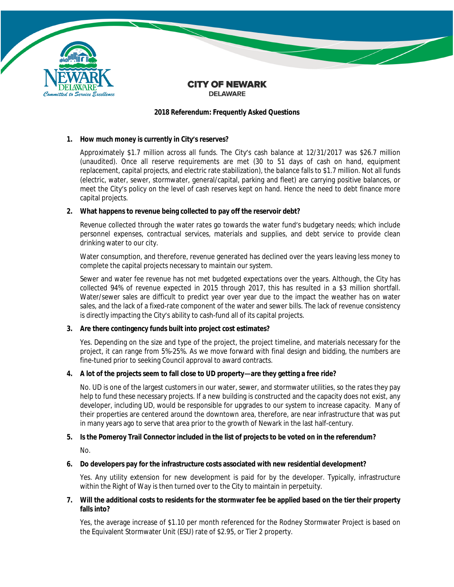

#### **CITY OF NEWARK DELAWARE**

### **2018 Referendum: Frequently Asked Questions**

## **1. How much money is currently in City's reserves?**

Approximately \$1.7 million across all funds. The City's cash balance at 12/31/2017 was \$26.7 million (unaudited). Once all reserve requirements are met (30 to 51 days of cash on hand, equipment replacement, capital projects, and electric rate stabilization), the balance falls to \$1.7 million. Not all funds (electric, water, sewer, stormwater, general/capital, parking and fleet) are carrying positive balances, or meet the City's policy on the level of cash reserves kept on hand. Hence the need to debt finance more capital projects.

## **2. What happens to revenue being collected to pay off the reservoir debt?**

Revenue collected through the water rates go towards the water fund's budgetary needs; which include personnel expenses, contractual services, materials and supplies, and debt service to provide clean drinking water to our city.

Water consumption, and therefore, revenue generated has declined over the years leaving less money to complete the capital projects necessary to maintain our system.

Sewer and water fee revenue has not met budgeted expectations over the years. Although, the City has collected 94% of revenue expected in 2015 through 2017, this has resulted in a \$3 million shortfall. Water/sewer sales are difficult to predict year over year due to the impact the weather has on water sales, and the lack of a fixed-rate component of the water and sewer bills. The lack of revenue consistency is directly impacting the City's ability to cash-fund all of its capital projects.

# **3. Are there contingency funds built into project cost estimates?**

Yes. Depending on the size and type of the project, the project timeline, and materials necessary for the project, it can range from 5%-25%. As we move forward with final design and bidding, the numbers are fine-tuned prior to seeking Council approval to award contracts.

# **4. A lot of the projects seem to fall close to UD property—are they getting a free ride?**

No. UD is one of the largest customers in our water, sewer, and stormwater utilities, so the rates they pay help to fund these necessary projects. If a new building is constructed and the capacity does not exist, any developer, including UD, would be responsible for upgrades to our system to increase capacity. Many of their properties are centered around the downtown area, therefore, are near infrastructure that was put in many years ago to serve that area prior to the growth of Newark in the last half-century.

# **5. Is the Pomeroy Trail Connector included in the list of projects to be voted on in the referendum?**

No.

#### **6. Do developers pay for the infrastructure costs associated with new residential development?**

Yes. Any utility extension for new development is paid for by the developer. Typically, infrastructure within the Right of Way is then turned over to the City to maintain in perpetuity.

## 7. Will the additional costs to residents for the stormwater fee be applied based on the tier their property **falls into?**

Yes, the average increase of \$1.10 per month referenced for the Rodney Stormwater Project is based on the Equivalent Stormwater Unit (ESU) rate of \$2.95, or Tier 2 property.